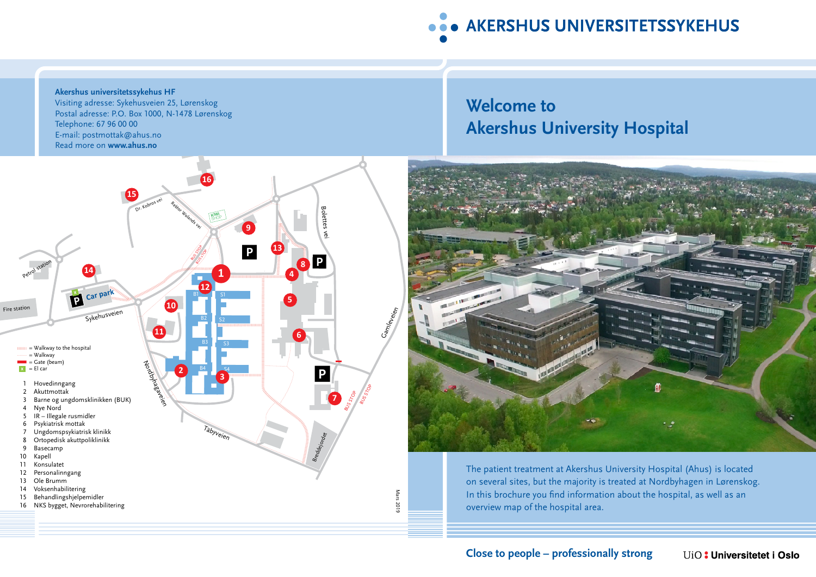

#### **Akershus universitetssykehus HF** Visiting adresse: Sykehusveien 25, Lørenskog Postal adresse: P.O. Box 1000, N-1478 Lørenskog Telephone: 67 96 00 00 E-mail: postmottak@ahus.no Read more on **www.ahus.no**



# **Welcome to Akershus University Hospital**



The patient treatment at Akershus University Hospital (Ahus) is located on several sites, but the majority is treated at Nordbyhagen in Lørenskog. In this brochure you find information about the hospital, as well as an overview map of the hospital area.

#### **Close to people – professionally strong** UiO: Universitetet i Oslo